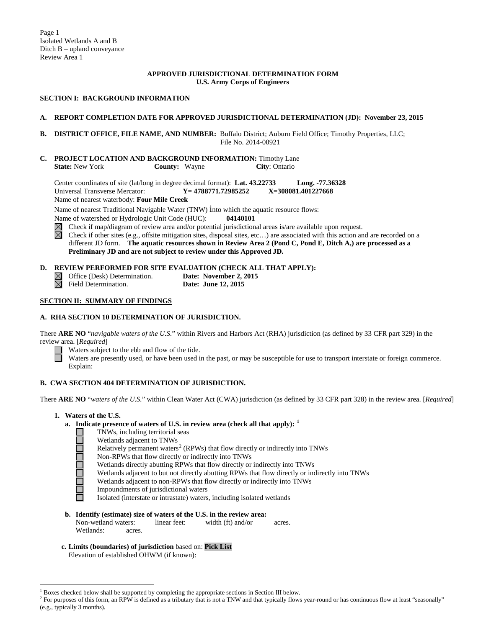## **APPROVED JURISDICTIONAL DETERMINATION FORM U.S. Army Corps of Engineers**

## **SECTION I: BACKGROUND INFORMATION**

# **A. REPORT COMPLETION DATE FOR APPROVED JURISDICTIONAL DETERMINATION (JD): November 23, 2015**

- **B. DISTRICT OFFICE, FILE NAME, AND NUMBER:** Buffalo District; Auburn Field Office; Timothy Properties, LLC; File No. 2014-00921
- **C. PROJECT LOCATION AND BACKGROUND INFORMATION:** Timothy Lane<br> **State:** New York **County:** Wayne City: Ontario **County:** Wayne **City**: Ontario

Center coordinates of site (lat/long in degree decimal format): **Lat. 43.22733 Long. -77.36328** Universal Transverse Mercator:

Name of nearest waterbody: **Four Mile Creek**

Name of nearest Traditional Navigable Water (TNW) into which the aquatic resource flows:

Name of watershed or Hydrologic Unit Code (HUC): **04140101**

Check if map/diagram of review area and/or potential jurisdictional areas is/are available upon request.  $\overline{\boxtimes}$ Check if other sites (e.g., offsite mitigation sites, disposal sites, etc…) are associated with this action and are recorded on a different JD form. **The aquatic resources shown in Review Area 2 (Pond C, Pond E, Ditch A,) are processed as a Preliminary JD and are not subject to review under this Approved JD.**

## **D. REVIEW PERFORMED FOR SITE EVALUATION (CHECK ALL THAT APPLY):**

 $\boxtimes$ 

Office (Desk) Determination. **Date: November 2, 2015** Field Determination. **Date: June 12, 2015** 

# **SECTION II: SUMMARY OF FINDINGS**

# **A. RHA SECTION 10 DETERMINATION OF JURISDICTION.**

There **ARE NO** "*navigable waters of the U.S.*" within Rivers and Harbors Act (RHA) jurisdiction (as defined by 33 CFR part 329) in the review area. [*Required*]

Waters subject to the ebb and flow of the tide.

Waters are presently used, or have been used in the past, or may be susceptible for use to transport interstate or foreign commerce. Explain:

# **B. CWA SECTION 404 DETERMINATION OF JURISDICTION.**

There **ARE NO** "*waters of the U.S.*" within Clean Water Act (CWA) jurisdiction (as defined by 33 CFR part 328) in the review area. [*Required*]

- **1. Waters of the U.S.**
	- **a. Indicate presence of waters of U.S. in review area (check all that apply): [1](#page-0-0)**
		- TNWs, including territorial seas
		- Wetlands adjacent to TNWs
		- Relatively permanent waters<sup>[2](#page-0-1)</sup> (RPWs) that flow directly or indirectly into TNWs
		- N HOLDICTO Non-RPWs that flow directly or indirectly into TNWs
			- Wetlands directly abutting RPWs that flow directly or indirectly into TNWs
			- Wetlands adjacent to but not directly abutting RPWs that flow directly or indirectly into TNWs
			- Wetlands adjacent to non-RPWs that flow directly or indirectly into TNWs
			- Impoundments of jurisdictional waters
			- Isolated (interstate or intrastate) waters, including isolated wetlands
	- **b. Identify (estimate) size of waters of the U.S. in the review area:**<br>Non-wetland waters: linear feet: width (ft) and/or Non-wetland waters: linear feet: width (ft) and/or acres. Wetlands: acres.
	- **c. Limits (boundaries) of jurisdiction** based on: **Pick List**

Elevation of established OHWM (if known):

 $<sup>1</sup>$  Boxes checked below shall be supported by completing the appropriate sections in Section III below.</sup>

<span id="page-0-1"></span><span id="page-0-0"></span><sup>&</sup>lt;sup>2</sup> For purposes of this form, an RPW is defined as a tributary that is not a TNW and that typically flows year-round or has continuous flow at least "seasonally" (e.g., typically 3 months).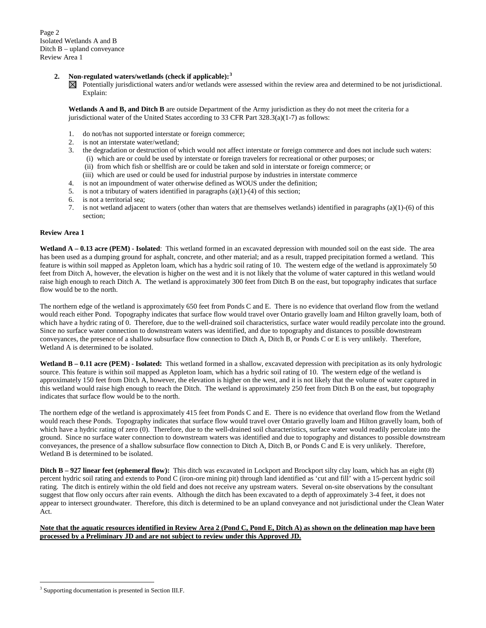Page 2 Isolated Wetlands A and B Ditch B – upland conveyance Review Area 1

## **2. Non-regulated waters/wetlands (check if applicable): [3](#page-1-0)**

 $\boxtimes$  Potentially jurisdictional waters and/or wetlands were assessed within the review area and determined to be not jurisdictional. Explain:

**Wetlands A and B, and Ditch B** are outside Department of the Army jurisdiction as they do not meet the criteria for a jurisdictional water of the United States according to 33 CFR Part 328.3(a)(1-7) as follows:

- 1. do not/has not supported interstate or foreign commerce;
- 2. is not an interstate water/wetland;
- 3. the degradation or destruction of which would not affect interstate or foreign commerce and does not include such waters:
	- (i) which are or could be used by interstate or foreign travelers for recreational or other purposes; or
	- (ii) from which fish or shellfish are or could be taken and sold in interstate or foreign commerce; or
	- (iii) which are used or could be used for industrial purpose by industries in interstate commerce
- 4. is not an impoundment of water otherwise defined as WOUS under the definition;
- 5. is not a tributary of waters identified in paragraphs (a)(1)-(4) of this section;
- 6. is not a territorial sea;
- 7. is not wetland adjacent to waters (other than waters that are themselves wetlands) identified in paragraphs (a)(1)-(6) of this section;

## **Review Area 1**

**Wetland A – 0.13 acre (PEM) - Isolated**: This wetland formed in an excavated depression with mounded soil on the east side. The area has been used as a dumping ground for asphalt, concrete, and other material; and as a result, trapped precipitation formed a wetland. This feature is within soil mapped as Appleton loam, which has a hydric soil rating of 10. The western edge of the wetland is approximately 50 feet from Ditch A, however, the elevation is higher on the west and it is not likely that the volume of water captured in this wetland would raise high enough to reach Ditch A. The wetland is approximately 300 feet from Ditch B on the east, but topography indicates that surface flow would be to the north.

The northern edge of the wetland is approximately 650 feet from Ponds C and E. There is no evidence that overland flow from the wetland would reach either Pond. Topography indicates that surface flow would travel over Ontario gravelly loam and Hilton gravelly loam, both of which have a hydric rating of 0. Therefore, due to the well-drained soil characteristics, surface water would readily percolate into the ground. Since no surface water connection to downstream waters was identified, and due to topography and distances to possible downstream conveyances, the presence of a shallow subsurface flow connection to Ditch A, Ditch B, or Ponds C or E is very unlikely. Therefore, Wetland A is determined to be isolated.

**Wetland B – 0.11 acre (PEM) - Isolated:** This wetland formed in a shallow, excavated depression with precipitation as its only hydrologic source. This feature is within soil mapped as Appleton loam, which has a hydric soil rating of 10. The western edge of the wetland is approximately 150 feet from Ditch A, however, the elevation is higher on the west, and it is not likely that the volume of water captured in this wetland would raise high enough to reach the Ditch. The wetland is approximately 250 feet from Ditch B on the east, but topography indicates that surface flow would be to the north.

The northern edge of the wetland is approximately 415 feet from Ponds C and E. There is no evidence that overland flow from the Wetland would reach these Ponds. Topography indicates that surface flow would travel over Ontario gravelly loam and Hilton gravelly loam, both of which have a hydric rating of zero (0). Therefore, due to the well-drained soil characteristics, surface water would readily percolate into the ground. Since no surface water connection to downstream waters was identified and due to topography and distances to possible downstream conveyances, the presence of a shallow subsurface flow connection to Ditch A, Ditch B, or Ponds C and E is very unlikely. Therefore, Wetland B is determined to be isolated.

**Ditch B – 927 linear feet (ephemeral flow):** This ditch was excavated in Lockport and Brockport silty clay loam, which has an eight (8) percent hydric soil rating and extends to Pond C (iron-ore mining pit) through land identified as 'cut and fill' with a 15-percent hydric soil rating. The ditch is entirely within the old field and does not receive any upstream waters. Several on-site observations by the consultant suggest that flow only occurs after rain events. Although the ditch has been excavated to a depth of approximately 3-4 feet, it does not appear to intersect groundwater. Therefore, this ditch is determined to be an upland conveyance and not jurisdictional under the Clean Water Act.

**Note that the aquatic resources identified in Review Area 2 (Pond C, Pond E, Ditch A) as shown on the delineation map have been processed by a Preliminary JD and are not subject to review under this Approved JD.**

<span id="page-1-0"></span><sup>&</sup>lt;sup>3</sup> Supporting documentation is presented in Section III.F.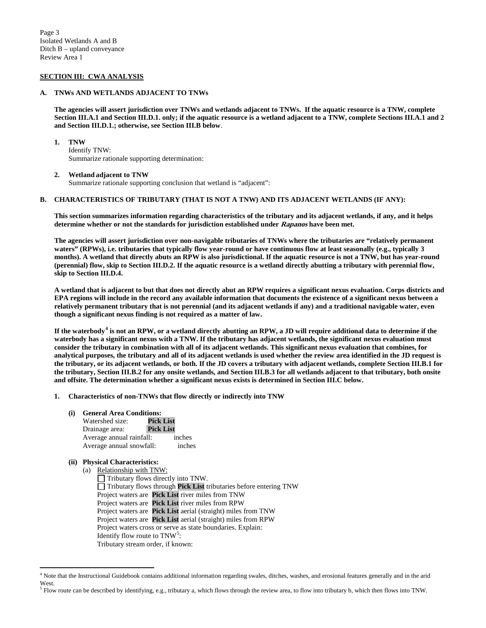## **SECTION III: CWA ANALYSIS**

## **A. TNWs AND WETLANDS ADJACENT TO TNWs**

**The agencies will assert jurisdiction over TNWs and wetlands adjacent to TNWs. If the aquatic resource is a TNW, complete Section III.A.1 and Section III.D.1. only; if the aquatic resource is a wetland adjacent to a TNW, complete Sections III.A.1 and 2 and Section III.D.1.; otherwise, see Section III.B below**.

- **1. TNW** 
	- Identify TNW: Summarize rationale supporting determination:

## **2. Wetland adjacent to TNW**

Summarize rationale supporting conclusion that wetland is "adjacent":

## **B. CHARACTERISTICS OF TRIBUTARY (THAT IS NOT A TNW) AND ITS ADJACENT WETLANDS (IF ANY):**

**This section summarizes information regarding characteristics of the tributary and its adjacent wetlands, if any, and it helps determine whether or not the standards for jurisdiction established under Rapanos have been met.** 

**The agencies will assert jurisdiction over non-navigable tributaries of TNWs where the tributaries are "relatively permanent waters" (RPWs), i.e. tributaries that typically flow year-round or have continuous flow at least seasonally (e.g., typically 3 months). A wetland that directly abuts an RPW is also jurisdictional. If the aquatic resource is not a TNW, but has year-round (perennial) flow, skip to Section III.D.2. If the aquatic resource is a wetland directly abutting a tributary with perennial flow, skip to Section III.D.4.**

**A wetland that is adjacent to but that does not directly abut an RPW requires a significant nexus evaluation. Corps districts and EPA regions will include in the record any available information that documents the existence of a significant nexus between a relatively permanent tributary that is not perennial (and its adjacent wetlands if any) and a traditional navigable water, even though a significant nexus finding is not required as a matter of law.**

**If the waterbody[4](#page-2-0) is not an RPW, or a wetland directly abutting an RPW, a JD will require additional data to determine if the waterbody has a significant nexus with a TNW. If the tributary has adjacent wetlands, the significant nexus evaluation must consider the tributary in combination with all of its adjacent wetlands. This significant nexus evaluation that combines, for analytical purposes, the tributary and all of its adjacent wetlands is used whether the review area identified in the JD request is the tributary, or its adjacent wetlands, or both. If the JD covers a tributary with adjacent wetlands, complete Section III.B.1 for the tributary, Section III.B.2 for any onsite wetlands, and Section III.B.3 for all wetlands adjacent to that tributary, both onsite and offsite. The determination whether a significant nexus exists is determined in Section III.C below.**

## **1. Characteristics of non-TNWs that flow directly or indirectly into TNW**

**(i) General Area Conditions:**

| inches                                                                                |
|---------------------------------------------------------------------------------------|
| inches                                                                                |
| Pick List<br><b>Pick List</b><br>Average annual rainfall:<br>Average annual snowfall: |

## **(ii) Physical Characteristics:**

(a) Relationship with TNW:

Tributary flows directly into TNW. Tributary flows through **Pick List** tributaries before entering TNW Project waters are **Pick List** river miles from TNW Project waters are **Pick List** river miles from RPW Project waters are **Pick List** aerial (straight) miles from TNW Project waters are **Pick List** aerial (straight) miles from RPW Project waters cross or serve as state boundaries. Explain: Identify flow route to  $TNW<sup>5</sup>$  $TNW<sup>5</sup>$  $TNW<sup>5</sup>$ : Tributary stream order, if known:

<span id="page-2-0"></span> <sup>4</sup> Note that the Instructional Guidebook contains additional information regarding swales, ditches, washes, and erosional features generally and in the arid **West** 

<span id="page-2-1"></span><sup>&</sup>lt;sup>5</sup> Flow route can be described by identifying, e.g., tributary a, which flows through the review area, to flow into tributary b, which then flows into TNW.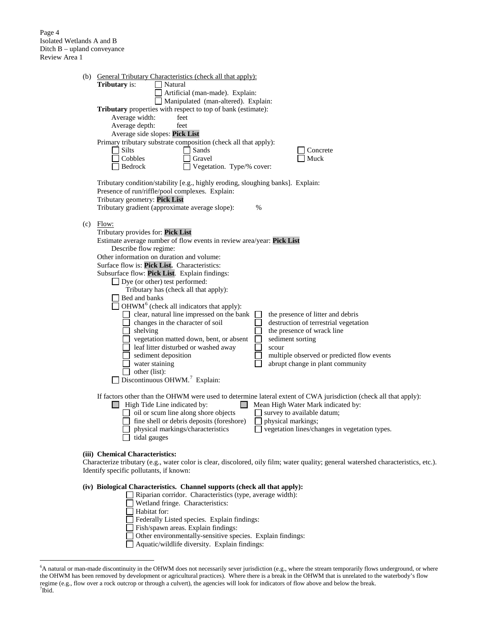Page 4 Isolated Wetlands A and B Ditch B – upland conveyance Review Area 1

|     | (b) General Tributary Characteristics (check all that apply):<br><b>Tributary</b> is:<br>Natural<br>Artificial (man-made). Explain:                                                                                                                                                                                                                                                                                                                                                                                                                                                                                                                                                                                                                                                                                                                                                                                                                                                   |
|-----|---------------------------------------------------------------------------------------------------------------------------------------------------------------------------------------------------------------------------------------------------------------------------------------------------------------------------------------------------------------------------------------------------------------------------------------------------------------------------------------------------------------------------------------------------------------------------------------------------------------------------------------------------------------------------------------------------------------------------------------------------------------------------------------------------------------------------------------------------------------------------------------------------------------------------------------------------------------------------------------|
|     | Manipulated (man-altered). Explain:<br>Tributary properties with respect to top of bank (estimate):<br>Average width:<br>feet<br>Average depth:<br>feet<br>Average side slopes: Pick List<br>Primary tributary substrate composition (check all that apply):<br><b>Silts</b><br>Sands<br>Concrete<br>$\Box$ Cobbles<br>Gravel<br>Muck<br>Bedrock<br>Vegetation. Type/% cover:                                                                                                                                                                                                                                                                                                                                                                                                                                                                                                                                                                                                         |
|     | Tributary condition/stability [e.g., highly eroding, sloughing banks]. Explain:<br>Presence of run/riffle/pool complexes. Explain:<br>Tributary geometry: Pick List<br>Tributary gradient (approximate average slope):<br>%                                                                                                                                                                                                                                                                                                                                                                                                                                                                                                                                                                                                                                                                                                                                                           |
| (c) | Flow:<br>Tributary provides for: Pick List<br>Estimate average number of flow events in review area/year: Pick List<br>Describe flow regime:<br>Other information on duration and volume:<br>Surface flow is: Pick List. Characteristics:<br>Subsurface flow: Pick List. Explain findings:<br>$\Box$ Dye (or other) test performed:<br>Tributary has (check all that apply):<br>Bed and banks<br>$\Box$ OHWM <sup>6</sup> (check all indicators that apply):<br>$\Box$ clear, natural line impressed on the bank<br>the presence of litter and debris<br>changes in the character of soil<br>destruction of terrestrial vegetation<br>the presence of wrack line<br>shelving<br>sediment sorting<br>vegetation matted down, bent, or absent<br>leaf litter disturbed or washed away<br>scour<br>sediment deposition<br>multiple observed or predicted flow events<br>water staining<br>abrupt change in plant community<br>other (list):<br>Discontinuous OHWM. <sup>7</sup> Explain: |
|     | If factors other than the OHWM were used to determine lateral extent of CWA jurisdiction (check all that apply):<br>$\Box$ High Tide Line indicated by:<br>Mean High Water Mark indicated by:<br>$\Box$<br>$\Box$ oil or scum line along shore objects<br>survey to available datum;<br>fine shell or debris deposits (foreshore)<br>physical markings;<br>physical markings/characteristics<br>$\Box$ vegetation lines/changes in vegetation types.<br>tidal gauges                                                                                                                                                                                                                                                                                                                                                                                                                                                                                                                  |
|     | (iii) Chemical Characteristics:<br>Characterize tributary (e.g., water color is clear, discolored, oily film; water quality; general watershed characteristics, etc.).<br>Identify specific pollutants, if known:                                                                                                                                                                                                                                                                                                                                                                                                                                                                                                                                                                                                                                                                                                                                                                     |
|     | (iv) Biological Characteristics. Channel supports (check all that apply):<br>Riparian corridor. Characteristics (type, average width):                                                                                                                                                                                                                                                                                                                                                                                                                                                                                                                                                                                                                                                                                                                                                                                                                                                |

- Wetland fringe. Characteristics:
- Habitat for:
- Federally Listed species. Explain findings:
- Fish/spawn areas. Explain findings:
- Other environmentally-sensitive species. Explain findings:
- Aquatic/wildlife diversity. Explain findings:

<span id="page-3-1"></span><span id="page-3-0"></span> <sup>6</sup> <sup>6</sup>A natural or man-made discontinuity in the OHWM does not necessarily sever jurisdiction (e.g., where the stream temporarily flows underground, or where the OHWM has been removed by development or agricultural practices). Where there is a break in the OHWM that is unrelated to the waterbody's flow regime (e.g., flow over a rock outcrop or through a culvert), the agencies will look for indicators of flow above and below the break. <sup>7</sup>  $7$ Ibid.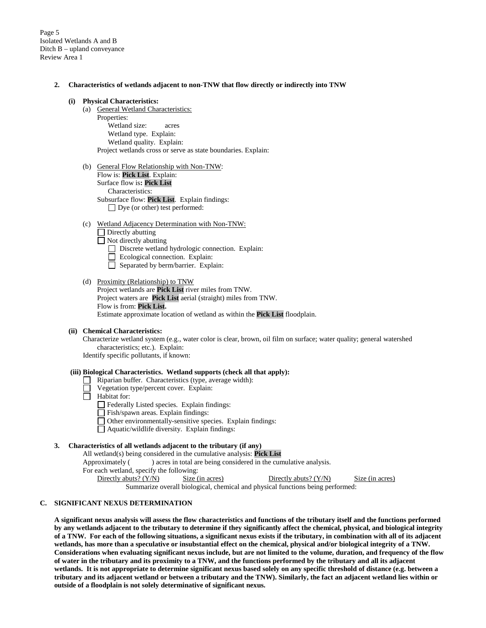Page 5 Isolated Wetlands A and B Ditch B – upland conveyance Review Area 1

## **2. Characteristics of wetlands adjacent to non-TNW that flow directly or indirectly into TNW**

#### **(i) Physical Characteristics:**

- (a) General Wetland Characteristics: Properties: Wetland size: acres Wetland type. Explain: Wetland quality. Explain: Project wetlands cross or serve as state boundaries. Explain:
- (b) General Flow Relationship with Non-TNW: Flow is: **Pick List**. Explain: Surface flow is**: Pick List**  Characteristics: Subsurface flow: **Pick List**. Explain findings: □ Dye (or other) test performed:
- (c) Wetland Adjacency Determination with Non-TNW:  $\Box$  Directly abutting  $\Box$  Not directly abutting
	- Discrete wetland hydrologic connection. Explain:
	- Ecological connection. Explain:
	- Separated by berm/barrier. Explain:
- (d) Proximity (Relationship) to TNW

Project wetlands are **Pick List** river miles from TNW. Project waters are **Pick List** aerial (straight) miles from TNW. Flow is from: **Pick List.** Estimate approximate location of wetland as within the **Pick List** floodplain.

## **(ii) Chemical Characteristics:**

Characterize wetland system (e.g., water color is clear, brown, oil film on surface; water quality; general watershed characteristics; etc.). Explain: Identify specific pollutants, if known:

## **(iii) Biological Characteristics. Wetland supports (check all that apply):**

- $\Box$  Riparian buffer. Characteristics (type, average width):
- Vegetation type/percent cover. Explain:
- Habitat for:
	- Federally Listed species. Explain findings:
	- Fish/spawn areas. Explain findings:
	- Other environmentally-sensitive species. Explain findings:
	- Aquatic/wildlife diversity. Explain findings:

# **3. Characteristics of all wetlands adjacent to the tributary (if any)**

All wetland(s) being considered in the cumulative analysis: **Pick List**

Approximately ( ) acres in total are being considered in the cumulative analysis.

For each wetland, specify the following:

Directly abuts? (Y/N) Size (in acres) Directly abuts? (Y/N) Size (in acres)

Summarize overall biological, chemical and physical functions being performed:

# **C. SIGNIFICANT NEXUS DETERMINATION**

**A significant nexus analysis will assess the flow characteristics and functions of the tributary itself and the functions performed by any wetlands adjacent to the tributary to determine if they significantly affect the chemical, physical, and biological integrity of a TNW. For each of the following situations, a significant nexus exists if the tributary, in combination with all of its adjacent wetlands, has more than a speculative or insubstantial effect on the chemical, physical and/or biological integrity of a TNW. Considerations when evaluating significant nexus include, but are not limited to the volume, duration, and frequency of the flow of water in the tributary and its proximity to a TNW, and the functions performed by the tributary and all its adjacent wetlands. It is not appropriate to determine significant nexus based solely on any specific threshold of distance (e.g. between a tributary and its adjacent wetland or between a tributary and the TNW). Similarly, the fact an adjacent wetland lies within or outside of a floodplain is not solely determinative of significant nexus.**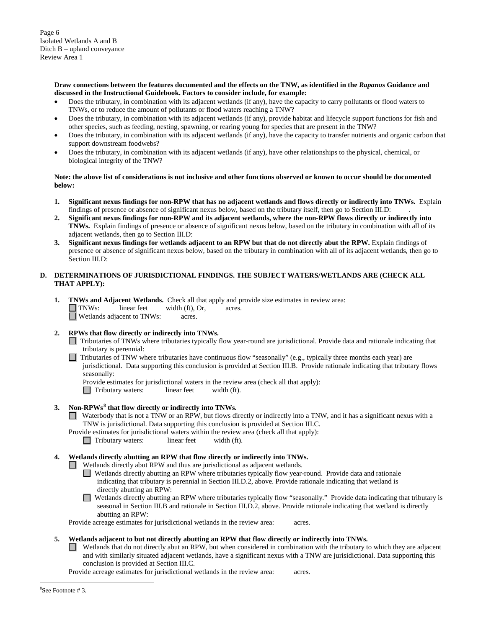**Draw connections between the features documented and the effects on the TNW, as identified in the** *Rapanos* **Guidance and discussed in the Instructional Guidebook. Factors to consider include, for example:**

- Does the tributary, in combination with its adjacent wetlands (if any), have the capacity to carry pollutants or flood waters to TNWs, or to reduce the amount of pollutants or flood waters reaching a TNW?
- Does the tributary, in combination with its adjacent wetlands (if any), provide habitat and lifecycle support functions for fish and other species, such as feeding, nesting, spawning, or rearing young for species that are present in the TNW?
- Does the tributary, in combination with its adjacent wetlands (if any), have the capacity to transfer nutrients and organic carbon that support downstream foodwebs?
- Does the tributary, in combination with its adjacent wetlands (if any), have other relationships to the physical, chemical, or biological integrity of the TNW?

## **Note: the above list of considerations is not inclusive and other functions observed or known to occur should be documented below:**

- **1. Significant nexus findings for non-RPW that has no adjacent wetlands and flows directly or indirectly into TNWs.** Explain findings of presence or absence of significant nexus below, based on the tributary itself, then go to Section III.D: .
- **2. Significant nexus findings for non-RPW and its adjacent wetlands, where the non-RPW flows directly or indirectly into TNWs.** Explain findings of presence or absence of significant nexus below, based on the tributary in combination with all of its adjacent wetlands, then go to Section III.D:
- **3. Significant nexus findings for wetlands adjacent to an RPW but that do not directly abut the RPW.** Explain findings of presence or absence of significant nexus below, based on the tributary in combination with all of its adjacent wetlands, then go to Section III.D:

# **D. DETERMINATIONS OF JURISDICTIONAL FINDINGS. THE SUBJECT WATERS/WETLANDS ARE (CHECK ALL THAT APPLY):**

- **1. TNWs and Adjacent Wetlands.** Check all that apply and provide size estimates in review area: TNWs: linear feet width (ft), Or, acres. Wetlands adjacent to TNWs: acres.
- **2. RPWs that flow directly or indirectly into TNWs.**
	- Tributaries of TNWs where tributaries typically flow year-round are jurisdictional. Provide data and rationale indicating that tributary is perennial: .
	- Tributaries of TNW where tributaries have continuous flow "seasonally" (e.g., typically three months each year) are jurisdictional. Data supporting this conclusion is provided at Section III.B. Provide rationale indicating that tributary flows seasonally:

Provide estimates for jurisdictional waters in the review area (check all that apply):<br>
Tributary waters: linear feet width (ft).

Tributary waters: linear feet width (ft).

# **3. Non-RPWs[8](#page-5-0) that flow directly or indirectly into TNWs.**

- Waterbody that is not a TNW or an RPW, but flows directly or indirectly into a TNW, and it has a significant nexus with a TNW is jurisdictional. Data supporting this conclusion is provided at Section III.C.
- Provide estimates for jurisdictional waters within the review area (check all that apply):
	- $\Box$  Tributary waters: linear feet width (ft).

# **4. Wetlands directly abutting an RPW that flow directly or indirectly into TNWs.**

Wetlands directly abut RPW and thus are jurisdictional as adjacent wetlands.

Wetlands directly abutting an RPW where tributaries typically flow year-round. Provide data and rationale indicating that tributary is perennial in Section III.D.2, above. Provide rationale indicating that wetland is directly abutting an RPW:

Wetlands directly abutting an RPW where tributaries typically flow "seasonally." Provide data indicating that tributary is seasonal in Section III.B and rationale in Section III.D.2, above. Provide rationale indicating that wetland is directly abutting an RPW:

Provide acreage estimates for jurisdictional wetlands in the review area: acres.

**5. Wetlands adjacent to but not directly abutting an RPW that flow directly or indirectly into TNWs.**

Wetlands that do not directly abut an RPW, but when considered in combination with the tributary to which they are adjacent and with similarly situated adjacent wetlands, have a significant nexus with a TNW are jurisidictional. Data supporting this conclusion is provided at Section III.C.

<span id="page-5-0"></span>Provide acreage estimates for jurisdictional wetlands in the review area: acres.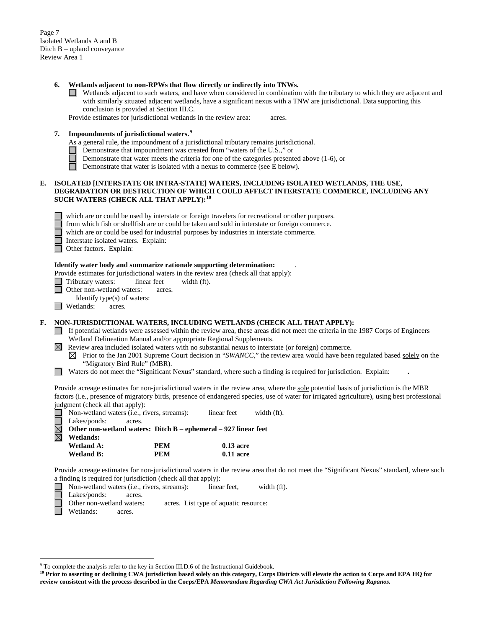Page 7 Isolated Wetlands A and B Ditch B – upland conveyance Review Area 1

| 6. | Wetlands adjacent to non-RPWs that flow directly or indirectly into TNWs. |  |
|----|---------------------------------------------------------------------------|--|
|    |                                                                           |  |

Wetlands adjacent to such waters, and have when considered in combination with the tributary to which they are adjacent and with similarly situated adjacent wetlands, have a significant nexus with a TNW are jurisdictional. Data supporting this conclusion is provided at Section III.C.

Provide estimates for jurisdictional wetlands in the review area: acres.

## **7. Impoundments of jurisdictional waters. [9](#page-6-0)**

- As a general rule, the impoundment of a jurisdictional tributary remains jurisdictional.
- Demonstrate that impoundment was created from "waters of the U.S.," or
- Demonstrate that water meets the criteria for one of the categories presented above (1-6), or
- П Demonstrate that water is isolated with a nexus to commerce (see E below).

## **E. ISOLATED [INTERSTATE OR INTRA-STATE] WATERS, INCLUDING ISOLATED WETLANDS, THE USE, DEGRADATION OR DESTRUCTION OF WHICH COULD AFFECT INTERSTATE COMMERCE, INCLUDING ANY SUCH WATERS (CHECK ALL THAT APPLY):[10](#page-6-1)**

- which are or could be used by interstate or foreign travelers for recreational or other purposes.
- from which fish or shellfish are or could be taken and sold in interstate or foreign commerce.

which are or could be used for industrial purposes by industries in interstate commerce.

Interstate isolated waters.Explain:

Other factors. Explain:

#### **Identify water body and summarize rationale supporting determination:** .

Provide estimates for jurisdictional waters in the review area (check all that apply):

Tributary waters: linear feet width (ft).

- П Other non-wetland waters: acres.
- Identify type(s) of waters:
- $\Box$  Wetlands: acres.

### **F. NON-JURISDICTIONAL WATERS, INCLUDING WETLANDS (CHECK ALL THAT APPLY):**

- If potential wetlands were assessed within the review area, these areas did not meet the criteria in the 1987 Corps of Engineers Wetland Delineation Manual and/or appropriate Regional Supplements.
- $\boxtimes$  Review area included isolated waters with no substantial nexus to interstate (or foreign) commerce.

 $\boxtimes$  Prior to the Jan 2001 Supreme Court decision in "*SWANCC*," the review area would have been regulated based solely on the "Migratory Bird Rule" (MBR).

Waters do not meet the "Significant Nexus" standard, where such a finding is required for jurisdiction. Explain:

Provide acreage estimates for non-jurisdictional waters in the review area, where the sole potential basis of jurisdiction is the MBR factors (i.e., presence of migratory birds, presence of endangered species, use of water for irrigated agriculture), using best professional judgment (check all that apply):

|                   |            | linear feet                                                          | width (ft).                                                     |
|-------------------|------------|----------------------------------------------------------------------|-----------------------------------------------------------------|
| Lakes/ponds:      | acres.     |                                                                      |                                                                 |
|                   |            |                                                                      |                                                                 |
| Wetlands:         |            |                                                                      |                                                                 |
| <b>Wetland A:</b> | <b>PEM</b> | $0.13$ acre                                                          |                                                                 |
| <b>Wetland B:</b> | PEM        | $0.11$ acre                                                          |                                                                 |
|                   |            | Non-wetland waters ( <i>i.e.</i> , <i>rivers</i> , <i>streams</i> ): | Other non-wetland waters: Ditch B – ephemeral – 927 linear feet |

Provide acreage estimates for non-jurisdictional waters in the review area that do not meet the "Significant Nexus" standard, where such a finding is required for jurisdiction (check all that apply):

- $\Box$ Non-wetland waters (i.e., rivers, streams): linear feet, width (ft). Lakes/ponds: acres.
- Other non-wetland waters: acres. List type of aquatic resource:

Wetlands: acres.

<span id="page-6-0"></span><sup>&</sup>lt;sup>9</sup> To complete the analysis refer to the key in Section III.D.6 of the Instructional Guidebook.

<span id="page-6-1"></span>**<sup>10</sup> Prior to asserting or declining CWA jurisdiction based solely on this category, Corps Districts will elevate the action to Corps and EPA HQ for review consistent with the process described in the Corps/EPA** *Memorandum Regarding CWA Act Jurisdiction Following Rapanos.*